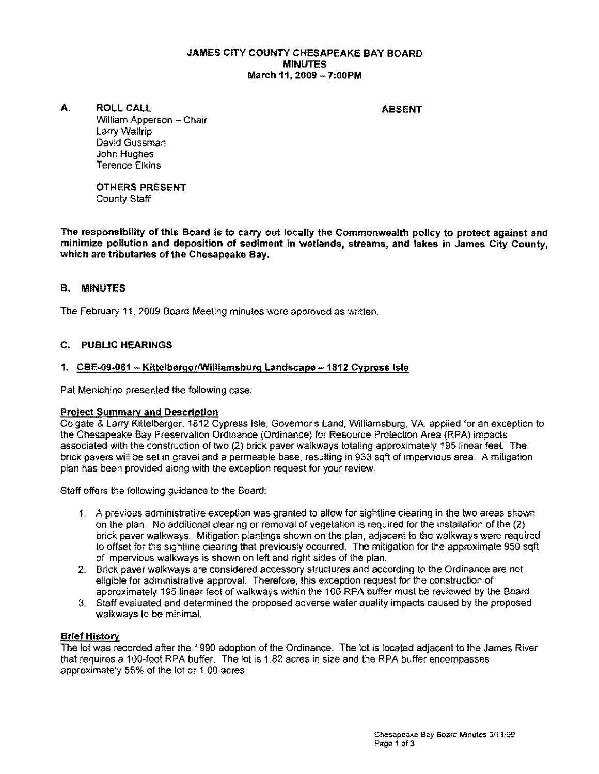#### JAMES CITY COUNTY CHESAPEAKE BAY BOARD MINUTES March 11,2009 - 7:00PM

A. ROLL CALL **ABSENT** 

William Apperson - Chair Larry Waltrip David Gussman John Hughes Terence Elkins

OTHERS PRESENT County Staff

The responsibility of this Board is to carry out locally the Commonwealth policy to protect against and minimize pollution and deposition of sediment In wetlands, streams, and lakes in James City County, which are tributaries of the Chesapeake Bay.

## B. MINUTES

The February 11, 2009 Board Meeting minutes were approved as written.

## C. PUBLIC HEARINGS

### 1. CBE·09·061 - KittelbergerlWilliamsburg Landscape -1812 Cypress Isle

Pat Menichino presented the following case:

#### Project Summary and Description

Colgate & Larry Kittelberger. 1812 Cypress Isle, Governor's Land, Williamsburg, VA, applied for an exception to the Chesapeake Bay Preservation Ordinance (Ordinance) for Resource Protection Area (RPA) impacts associated with the construction of two (2) brick paver walkways totaling approximately 195 linear feet. The brick pavers will be set in gravel and a permeable base, resulting in 933 sqft of impervious area. A mitigation plan has been provided along with the exception request for your review.

Staff offers the following guidance to the Board:

- 1. A previous administrative exception was granted to allow for sightline clearing in the two areas shown on the plan. No additional clearing or removal of vegetation is required for the installation of the (2) brick paver walkways. Mitigation plantings shown on the plan, adjacent to the walkways were required to offset for the sightline clearing that previously occurred. The mitigation for the approximate 950 sqft of impervious walkways is shown on left and right sides of the plan.
- 2. Brick paver walkways are considered accessory structures and according to the Ordinance are not eligible for administrative approval. Therefore, this exception request for the construction of approximately 195 linear feet of walkways within the 100 RPA buffer must be reviewed by the Board.
- 3. Staff evaluated and determined the proposed adverse water quality impacts caused by the proposed walkways to be minimal.

### Brief History

The lot was recorded after the 1990 adoption of the Ordinance. The lot is located adjacent to the James River that requires a 100·foot RPA buffer. The lot is 1.82 acres in size and the RPA buffer encompasses approximately 55% of the lot or 1.00 acres.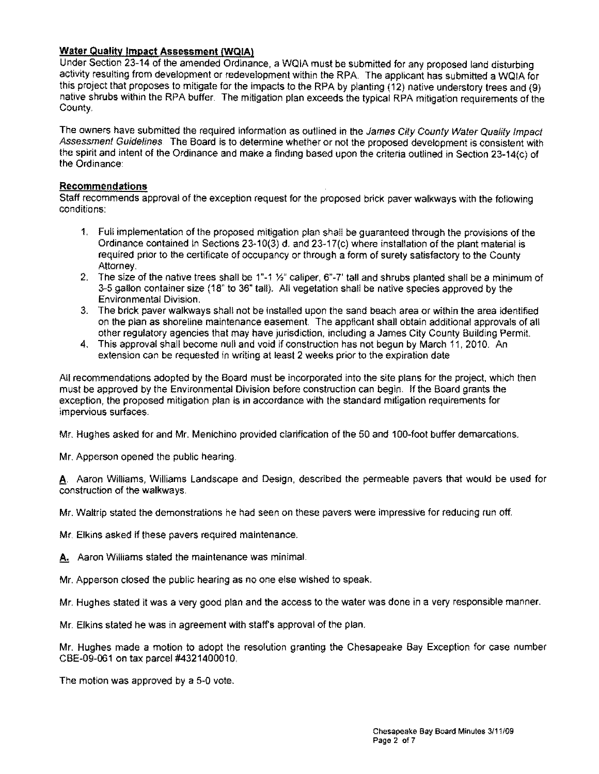## **Water Quality Impact Assessment (WQIA)**

Under Section 23-14 of the amended Ordinance, a WOIA must be submitted for any proposed land disturbing activity resulting from development or redevelopment within the RPA. The applicant has submitted a WQIA for this project that proposes to mitigate for the impacts to the RPA by planting (12) native understory trees and (9) native shrubs within the RPA buffer The mitigation plan exceeds the typical RPA mitigation requirements of the County.

The owners have submitted the required information as outlined in the James City County Water Quality Impact Assessment Guidelines. The Board is to determine whether or not the proposed development is consistent with the spirit and intent of the Ordinance and make a finding based upon the criteria outlined in Section 23-14(c) of the Ordinance:

#### Recommendations

Staff recommends approval of the exception request for the proposed brick paver walkways with the following conditions:

- 1. Full implementation of the proposed mitigation plan shall be guaranteed through the provisions of the Ordinance contained in Sections 23-10(3) d. and 23-17(c) where installation of the plant material is required prior to the certificate of occupancy or through a form of surety satisfactory to the County Attorney.
- 2. The size of the native trees shall be 1"-1  $\frac{1}{2}$ " caliper, 6"-7' tall and shrubs planted shall be a minimum of 3-5 gallon container size (18" to 36" tall). All vegetation shall be native species approved by the Environmental Division.
- 3. The brick paver walkways shall not be installed upon the sand beach area or within the area identified on the plan as shoreline maintenance easement. The applicant shall obtain additional approvals of all other regulatory agencies that may have jurisdiction, including a James City County Building Permit.
- 4. This approval shall become null and void if construction has not begun by March 11, 2010. An extension can be requested in writing at least 2 weeks prior to the expiration date

All recommendations adopted by the Board must be incorporated into the site plans for the project, which then must be approved by the Environmental Division before construction can begin. If the Board grants the exception, the proposed mitigation plan is in accordance with the standard mitigation requirements for impervious surfaces.

Mr. Hughes asked for and Mr. Menichino provided clarification of the 50 and 100-foot buffer demarcations.

Mr. Apperson opened the public hearing.

a. Aaron Williams, Williams Landscape and Design, described the permeable pavers that would be used for construction of the walkways.

Mr. Waltrip stated the demonstrations he had seen on these pavers were impressive for reducing run off.

Mr. Elkins asked if these pavers required maintenance.

A. Aaron Williams stated the maintenance was minimal.

Mr. Apperson closed the public hearing as no one else wished to speak.

Mr. Hughes stated it was a very good plan and the access to the water was done in a very responsible manner.

Mr. Elkins stated he was in agreement with staff's approval of the plan.

Mr. Hughes made a motion to adopt the resolution granting the Chesapeake Bay Exception for case number CBE-09-061 on tax parcel #4321400010.

The motion was approved by a 5-0 vote.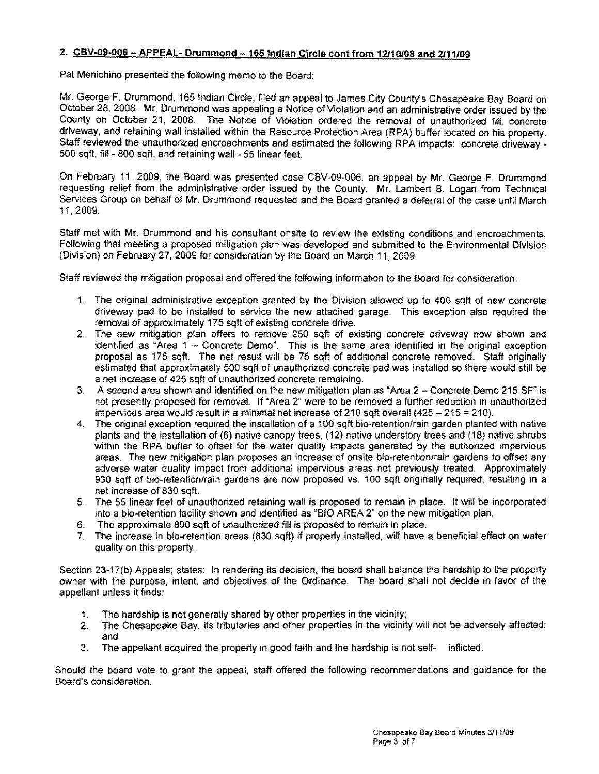## 2. **CBV.09·006 - APPEAL· Drummond** -165 Indian **Circle cont from 12110108 and 2111109**

Pat Menichino presented the following memo to the Board:

Mr. George F. Drummond, 165 Indian Circle, filed an appeal to James City County's Chesapeake Bay Board on October 2S, 200S. Mr. Drummond was appealing a Notice of Violation and an administrative order issued by the County on October 21, 2008. The Notice of Violation ordered the removal of unauthorized fill, concrete driveway, and retaining wall installed within the Resource Protection Area (RPA) buffer located on his property. Staff reviewed the unauthorized encroachments and estimated the following RPA impacts: concrete driveway -500 sqft, fill - SOO sqft, and retaining wall - 55 linear feet.

On February 11, 2009, the Board was presented case CBV-09-006, an appeal by Mr. George F. Drummond requesting relief from the administrative order issued by the County. Mr. Lambert B. Logan from Technical Services Group on behalf of Mr. Drummond requested and the Board granted a deferral of the case until March 11,2009.

Staff met with Mr. Drummond and his consultant onsite to review the existing conditions and encroachments. Following that meeting a proposed mitigation plan was developed and submitted to the Environmental Division (Division) on February 27,2009 for consideration by the Board on March 11,2009.

Staff reviewed the mitigation proposal and offered the following information to the Board for consideration:

- 1. The original administrative exception granted by the Division allowed up to 400 sqft of new concrete driveway pad to be installed to service the new attached garage. This exception also required the removal of approximately 175 sqft of existing concrete drive.
- 2. The new mitigation plan offers to remove 250 sqft of existing concrete driveway now shown and identified as "Area 1 - Concrete Demo". This is the same area identified in the original exception proposal as 175 sqft. The net result will be 75 sqft of additional concrete removed. Staff originally estimated that approximately 500 sqft of unauthorized concrete pad was installed so there would still be a net increase of 425 sqft of unauthorized concrete remaining.
- 3. A second area shown and identified on the new mitigation plan as "Area 2 Concrete Demo 215 SF" is not presently proposed for removal. If "Area 2" were to be removed a further reduction in unauthorized impervious area would result in a minimal net increase of 210 sqft overall  $(425 - 215 = 210)$ .
- 4. The original exception required the installation of a 100 sqft bio-retention/rain garden planted with native plants and the installation of  $(6)$  native canopy trees,  $(12)$  native understory trees and  $(18)$  native shrubs within the RPA buffer to offset for the water quality impacts generated by the authorized impervious areas. The new mitigation plan proposes an increase of onsite bio-retention/rain gardens to offset any adverse water quality impact from additional impervious areas not previously treated. Approximately 930 sqft of bio-retention/rain gardens are now proposed vs. 100 sqft originally required, resulting in a net increase of 830 sqft.
- 5. The 55 linear feet of unauthorized retaining wall is proposed to remain in place. It will be incorporated into a bio·retention facility shown and identified as "BIO AREA 2" on the new mitigation plan.
- 6, The approximate 800 sqft of unauthorized fill is proposed to remain in place.
- 7. The increase in bio-retention areas (830 sqft) if properly installed, will have a beneficial effect on water quality on this property.

Section 23-17(b) Appeals; states: In rendering its decision, the board shall balance the hardship to the property owner WIth the purpose, intent, and objectives of the Ordinance, The board shall not decide in favor of the appellant unless it finds:

- 1. The hardship is not generally shared by other properties in the vicinity;
- 2. The Chesapeake Bay, its tributaries and other properties in the vicinity will not be adversely affected; and
- 3. The appellant acquired the property in good faith and the hardship is not self- inflicted,

Should the board vote to grant the appeal, staff offered the following recommendations and guidance for the Board's consideration.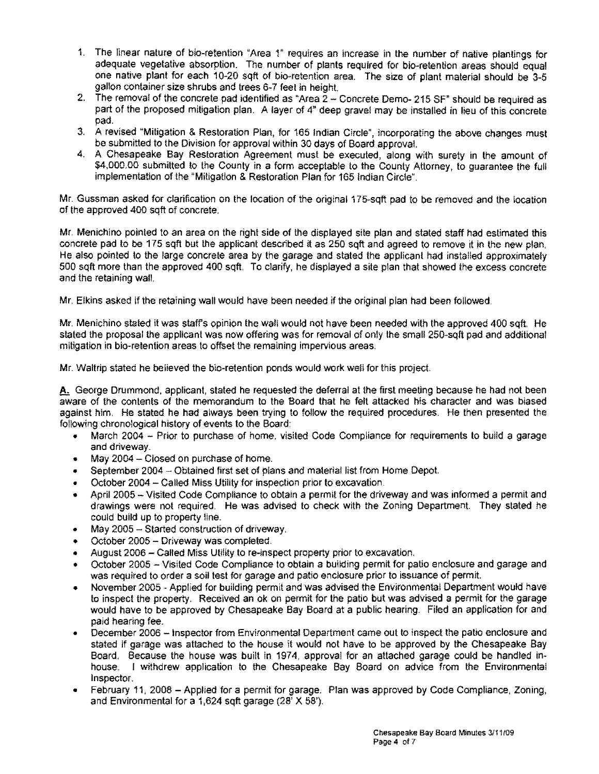- 1. The linear nature of bio-retention "Area 1" requires an increase in the number of native plantings for adequate vegetative absorption. The number of plants required for bio-retention areas should equal one nalive plant for each 10-20 sqft of bio-retention area. The size of plant material should be 3-5 gallon container size shrubs and trees 6-7 feet in height.
- 2. The removal of the concrete pad identified as "Area 2 Concrete Demo- 215 SF" should be required as part of the proposed mitigation plan. A layer of 4" deep gravel may be installed in lieu of this concrete pad.
- 3. A revised "Mitigation & Restoration Plan, for 165 Indian Circle", incorporating the above changes must be submitted to the Division for approval within 30 days of Board approval.
- 4. A Chesapeake Bay Restoration Agreement must be executed, along with surety in the amount of \$4,000.00 submitted to the County in a form acceptable to the County Attorney, to guarantee the full implementation of the "Mitigation & Restoration Plan for 165 Indian Circle".

Mr. Gussman asked for clarification on the location of the original 175-sqft pad to be removed and the location of the approved 400 sqft of concrete.

Mr. Menichino pointed to an area on the right side of the displayed site plan and stated staff had estimated this concrete pad to be 175 sqft but the applicant described it as 250 sqft and agreed to remove it in the new plan. He also pointed to the large concrete area by the garage and stated the applicant had installed approximately 500 sqft more than the approved 400 sqft. To clarify, he displayed a site plan that showed the excess concrete and the retaining wall.

Mr. Elkins asked if the retaining wall would have been needed if the original plan had been followed.

Mr. Menichino stated it was staffs opinion the wall would not have been needed with the approved 400 sqft. He stated the proposal the applicant was now offering was for removal of only the small 250-sqft pad and additional mitigation in bio-retention areas to offset the remaining impervious areas.

Mr. Waltrip stated he believed the bio-retention ponds would work well for this project.

**A.** George Drummond. applicant, stated he requested the deferral at the first meeting because he had not been aware of the contents of the memorandum to the Board that he felt attacked his character and was biased against him. He stated he had always been trying to follow the required procedures. He then presented the following chronological history of events to the Board:

- March 2004 Prior to purchase of home. visited Code Compliance for requirements to build a garage and driveway.
- May 2004  $-$  Closed on purchase of home.
- September 2004 Obtained first set of plans and material list from Home Depot.
- October 2004 Called Miss Utility for inspection prior to excavation.
- April 2005 Visited Code Compliance to obtain a permit for the driveway and was informed a permit and drawings were not required. He was advised to check with the Zoning Department. They stated he could build up to property line.
- May 2005 Started construction of driveway.
- October 2005 Driveway was completed.
- August 2006 Called Miss Utility to re-inspect property prior to excavation.
- October 2005 Visited Code Compliance to obtain a building permit for patio enclosure and garage and was required to order a soil test for garage and patio enclosure prior to issuance of permit.
- November 2005 Applied for building permit and was advised the Environmental Department would have to inspect the property. Received an ok on permit for the patio but was advised a permit for the garage would have to be approved by Chesapeake Bay Board at a public hearing. Filed an application for and paid hearing fee.
- December 2006 Inspector from Environmental Department came out to inspect the patio enclosure and stated if garage was attached to the house it would not have to be approved by the Chesapeake Bay Board. Because the house was built in 1974. approval for an attached garage could be handled in· house. I withdrew application to the Chesapeake Bay Board on advice from the Environmental Inspector.
- February 11, 2008 Applied for a permit for garage. Plan was approved by Code Compliance, Zoning, and Environmental for a 1,624 sqft garage (28' X 58').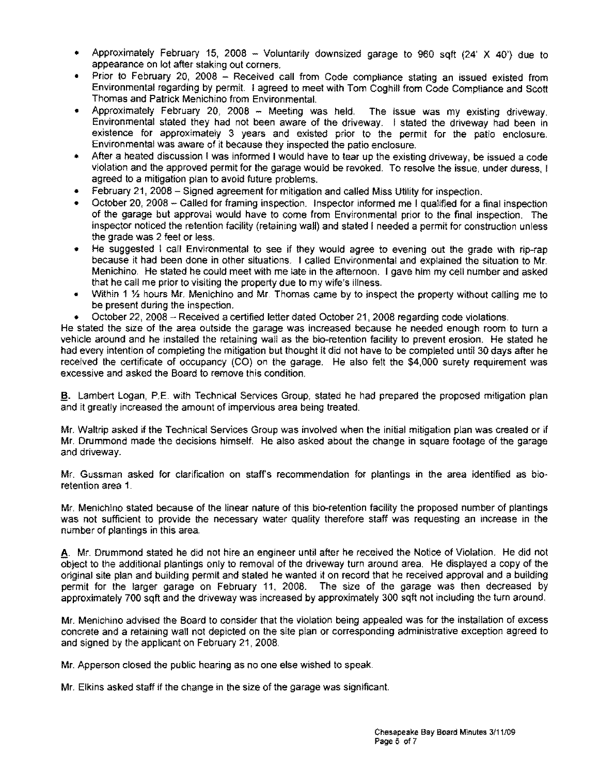- Approximately February 15, 2008 Voluntarily downsized garage to 960 sqft (24' X 40') due to appearance on lot after staking out corners.
- Prior to February 20, 2008 Received call from Code compliance stating an issued existed from Environmental regarding by permit I agreed to meet with Tom Coghill from Code Compliance and Scott Thomas and Patrick Menichino from Environmental,
- Approximately February 20, 2008 Meeting was held. The issue was my existing driveway. Environmental stated they had not been aware of the driveway. I stated the driveway had been in existence for approximately 3 years and existed prior to the permit for the patio enclosure. Environmental was aware of it because they inspected the patio enclosure.
- After a heated discussion I was informed I would have to tear up the existing driveway, be issued a code violation and the approved permit for the garage would be revoked. To resolve the issue, under duress, I agreed to a mitigation plan to avoid future problems.
- February 21, 2008 Signed agreement for mitigation and called Miss Utility for inspection.
- October 20, 2008 Called for framing inspection. Inspector informed me I qualified for a final inspection of the garage but approval would have to come from Environmental prior to the final inspection. The inspector noticed the retention facility (retaining wall) and stated I needed a permit for construction unless the grade was 2 feet or less.
- He suggested I call Environmental to see if they would agree to evening out the grade with rip-rap because it had been done in other situations. I called Environmental and explained the situation to Mr. Menichino. He stated he could meet with me late in the afternoon. I gave him my cell number and asked that he call me prior to visiting the property due to my wife's illness.
- Within 1 *Y,* hours Mr. Menichino and Mr. Thomas came by to inspect the property without calling me to be present during the inspection.
- October 22, 2008 Received a certified letter dated October 21, 2008 regarding code violations.

He stated the SIZe of the area outside the garage was increased because he needed enough room to turn a vehicle around and he installed the retaining wall as the bio-retention facility to prevent erosion. He stated he had every intention of completing the mitigation but thought it did not have to be completed until 30 days after he received the certificate of occupancy (CO) on the garage. He also felt the \$4,000 surety requirement was excessive and asked the Board to remove this condition.

§. Lambert Logan, P.E. with Technical Services Group, stated he had prepared the proposed mitigation plan and it greatly increased the amount of impervious area being treated.

Mr. Waltrip asked if the Technical Services Group was involved when the initial mitigation plan was created or if Mr. Drummond made the decisions himself. He also asked about the change in square footage of the garage and driveway.

Mr. Gussman asked for clarification on staff's recommendation for plantings in the area identified as bioretention area 1.

Mr. Menichino stated because of the linear nature of this bio-retention facility the proposed number of plantings was not sufficient to provide the necessary water quality therefore staff was requesting an increase in the number of plantings in this area.

A. Mr. Drummond stated he did not hire an engineer until after he received the Notice of Violation. He did not object to the additional plantings only to removal of the driveway turn around area. He displayed a copy of the original site plan and building permit and stated he wanted it on record that he received approval and a building permit for the larger garage on February 11, 2008. The size of the garage was then decreased by approximately 700 sqft and the driveway was increased by approximately 300 sqft not including the turn around.

Mr. Menichino advised the Board to consider that the violation being appealed was for the installation of excess concrete and a retaining wall not depicted on the site plan or corresponding administrative exception agreed to and signed by the applicant on February 21, 2008.

Mr. Apperson closed the public hearing as no one else wished to speak.

Mr. Elkins asked staff if the change in the size of the garage was significant.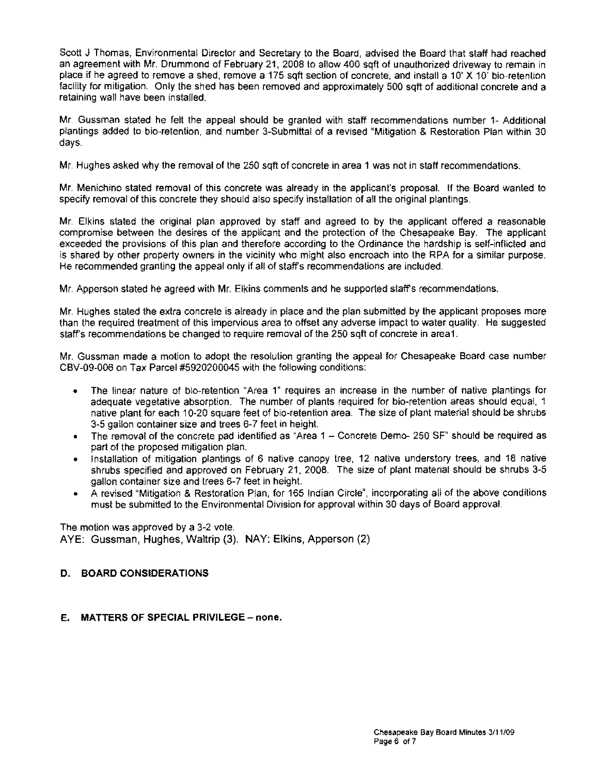Scott J Thomas, Environmental Director and Secretary to the Board, advised the Board that staff had reached an agreement with Mr. Drummond of February 21, 2008 to allow 400 sqft of unauthorized driveway to remain in place if he agreed to remove a shed. remove a 175 sqft section of concrete, and install a 10' X 10' bio-retention facility for mitigation. Only the shed has been removed and approximately 500 sqft of additional concrete and a retaining wall have been installed.

Mr. Gussman stated he felt the appeal should be granted with staff recommendations number 1- Additional plantings added to bio-retention, and number 3-Submittal of a revised "Mitigation 8. Restoration Plan within 30 days.

Mr. Hughes asked why the removal of the 250 sqft of concrete in area 1 was not in staff recommendations.

Mr. Menichino stated removal of this concrete was already in the applicant's proposal. If the Board wanted to specify removal of this concrete they should also specify installation of all the original plantings.

Mr. Elkins stated the original plan approved by staff and agreed to by the applicant offered a reasonable compromise between the desires of the applicant and the protection of the Chesapeake Bay. The applicant exceeded the provisions of this plan and therefore according to the Ordinance the hardship is self-inflicted and is shared by other property owners in the vicinity who might also encroach into the RPA for a similar purpose. He recommended granting the appeal only if all of staffs recommendations are included.

Mr. Apperson stated he agreed with Mr. Elkins comments and he supported staffs recommendations.

Mr. Hughes stated the extra concrete is already in place and the plan submitted by the applicant proposes more than the required treatment of this impervious area to offset any adverse impact to water quality. He suggested staff's recommendations be changed to require removal of the 250 sqft of concrete in area1.

Mr. Gussman made a motion to adopt the resolution granting the appeal for Chesapeake Board case number CBV-09-006 on Tax Parcel #5920200045 with the following conditions:

- The linear nature of bio-retention "Area 1" requires an increase in the number of native plantings for adequate vegetative absorption. The number of plants required for bio-retention areas should equal, 1 native plant for each 10-20 square feet of bio-retention area. The size of plant material should be shrubs 3-5 gallon container size and trees 6-7 feet in height.
- The removal of the concrete pad identified as "Area  $1 -$ Concrete Demo- 250 SF" should be required as part of the proposed mitigation plan.
- Installation of mitigation plantings of 6 native canopy tree, 12 native understory trees, and 18 native shrubs specified and approved on February 21, 2008. The size of plant matenal should be shrubs 3-5 gallon container size and trees 6-7 feet in height.
- A revised "Mitigation 8. Restoration Plan, for 165 Indian Circle", incorporating all of the above conditions must be submitted to the Environmental Division for approval within 30 days of Board approval,

The motion was approved by a 3-2 vote, AYE: Gussman, Hughes, Waltrip (3). NAY: Elkins, Apperson (2)

### D. BOARD CONSIDERATIONS

E. MATTERS OF SPECIAL PRIVILEGE - none.